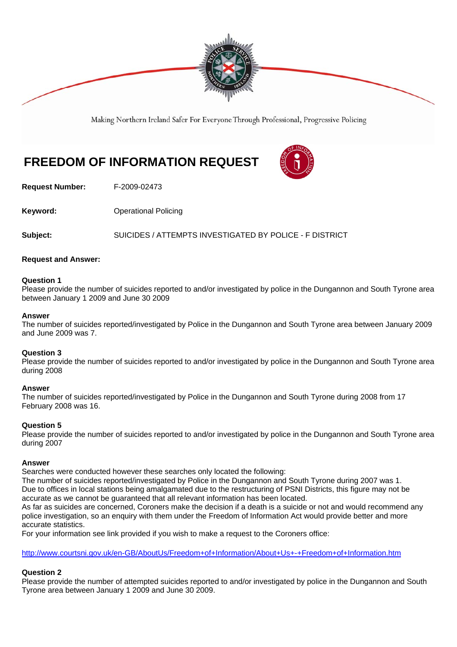

Making Northern Ireland Safer For Everyone Through Professional, Progressive Policing

# **FREEDOM OF INFORMATION REQUEST**



**Request Number:** F-2009-02473

**Keyword: Conservery Operational Policing** 

**Subject:** SUICIDES / ATTEMPTS INVESTIGATED BY POLICE - F DISTRICT

## **Request and Answer:**

#### **Question 1**

Please provide the number of suicides reported to and/or investigated by police in the Dungannon and South Tyrone area between January 1 2009 and June 30 2009

#### **Answer**

The number of suicides reported/investigated by Police in the Dungannon and South Tyrone area between January 2009 and June 2009 was 7.

## **Question 3**

Please provide the number of suicides reported to and/or investigated by police in the Dungannon and South Tyrone area during 2008

#### **Answer**

The number of suicides reported/investigated by Police in the Dungannon and South Tyrone during 2008 from 17 February 2008 was 16.

## **Question 5**

Please provide the number of suicides reported to and/or investigated by police in the Dungannon and South Tyrone area during 2007

#### **Answer**

Searches were conducted however these searches only located the following:

The number of suicides reported/investigated by Police in the Dungannon and South Tyrone during 2007 was 1. Due to offices in local stations being amalgamated due to the restructuring of PSNI Districts, this figure may not be accurate as we cannot be guaranteed that all relevant information has been located.

As far as suicides are concerned, Coroners make the decision if a death is a suicide or not and would recommend any police investigation, so an enquiry with them under the Freedom of Information Act would provide better and more accurate statistics.

For your information see link provided if you wish to make a request to the Coroners office:

http://www.courtsni.gov.uk/en-GB/AboutUs/Freedom+of+Information/About+Us+-+Freedom+of+Information.htm

## **Question 2**

Please provide the number of attempted suicides reported to and/or investigated by police in the Dungannon and South Tyrone area between January 1 2009 and June 30 2009.